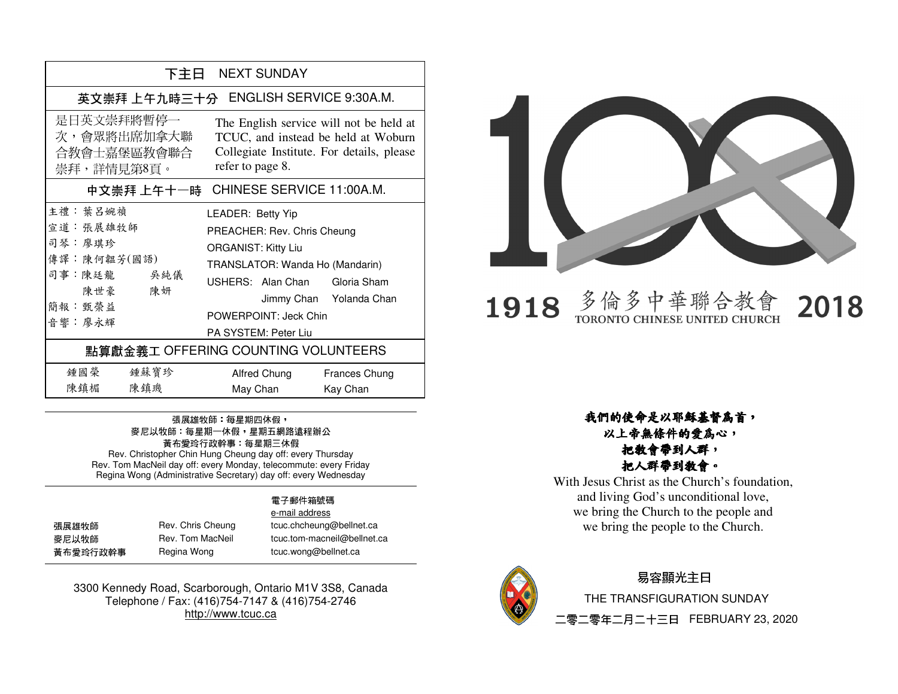| 下主日 NEXT SUNDAY                                                                                |                                                                                                                                                                                                                                |  |  |
|------------------------------------------------------------------------------------------------|--------------------------------------------------------------------------------------------------------------------------------------------------------------------------------------------------------------------------------|--|--|
| 英文崇拜上午九時三十分 ENGLISH SERVICE 9:30A.M.                                                           |                                                                                                                                                                                                                                |  |  |
| 是日英文崇拜將暫停一<br>次,會眾將出席加拿大聯<br>合教會士嘉堡區教會聯合<br>崇拜,詳情見第8頁。                                         | The English service will not be held at<br>TCUC, and instead be held at Woburn<br>Collegiate Institute. For details, please<br>refer to page 8.                                                                                |  |  |
| 中文崇拜上午十一時 CHINESE SERVICE 11:00A.M.                                                            |                                                                                                                                                                                                                                |  |  |
| 主禮: 葉 呂婉禎<br>宣道: 張展雄牧師<br>司琴:廖琪珍<br>傳譯:陳何韞芳(國語)<br>司事:陳廷龍 吴純儀<br>陳世豪 陳妍<br>簡報: 甄榮益<br>音響 : 廖永輝 | LEADER: Betty Yip<br>PREACHER: Rev. Chris Cheung<br><b>ORGANIST: Kitty Liu</b><br>TRANSLATOR: Wanda Ho (Mandarin)<br>USHERS: Alan Chan Gloria Sham<br>Jimmy Chan Yolanda Chan<br>POWERPOINT: Jeck Chin<br>PA SYSTEM: Peter Liu |  |  |
| 點算獻金義工 OFFERING COUNTING VOLUNTEERS                                                            |                                                                                                                                                                                                                                |  |  |
| 鍾國榮<br>鍾蘇寶珍<br>陳鎮楣<br>陳鎮璣                                                                      | Alfred Chung<br>Frances Chung<br>May Chan<br>Kay Chan                                                                                                                                                                          |  |  |

### 張展雄牧師: 每星期四休假, 麥尼以牧師:每星期一休假,星期五網路遠程辦公 黃布愛玲行政幹事:每星期三休假

 Rev. Christopher Chin Hung Cheung day off: every Thursday Rev. Tom MacNeil day off: every Monday, telecommute: every Friday Regina Wong (Administrative Secretary) day off: every Wednesday

#### 電子郵件箱號碼 e-mail address

張展雄牧師 Rev. Chris Cheung tcuc.chcheung@bellnet.ca **麥尼以牧師 Rev. Tom MacNeil tcuc.tom-macneil@bellnet.ca** 黃布愛玲行政幹事 Regina Wong tcuc.wong@bellnet.ca

3300 Kennedy Road, Scarborough, Ontario M1V 3S8, Canada Telephone / Fax: (416)754-7147 & (416)754-2746 http://www.tcuc.ca



 $1918$  多倫多中華聯合教會 TORONTO CHINESE UNITED CHURCH

2018

我們的使命是以耶穌基督為首, 以上帝無條件的愛為心,把教會帶到人群,把人群帶到教會。

 With Jesus Christ as the Church's foundation, and living God's unconditional love, we bring the Church to the people and we bring the people to the Church.



### 易容顯光主日

 THE TRANSFIGURATION SUNDAY二零二零年二月二十三日 FEBRUARY 23, 2020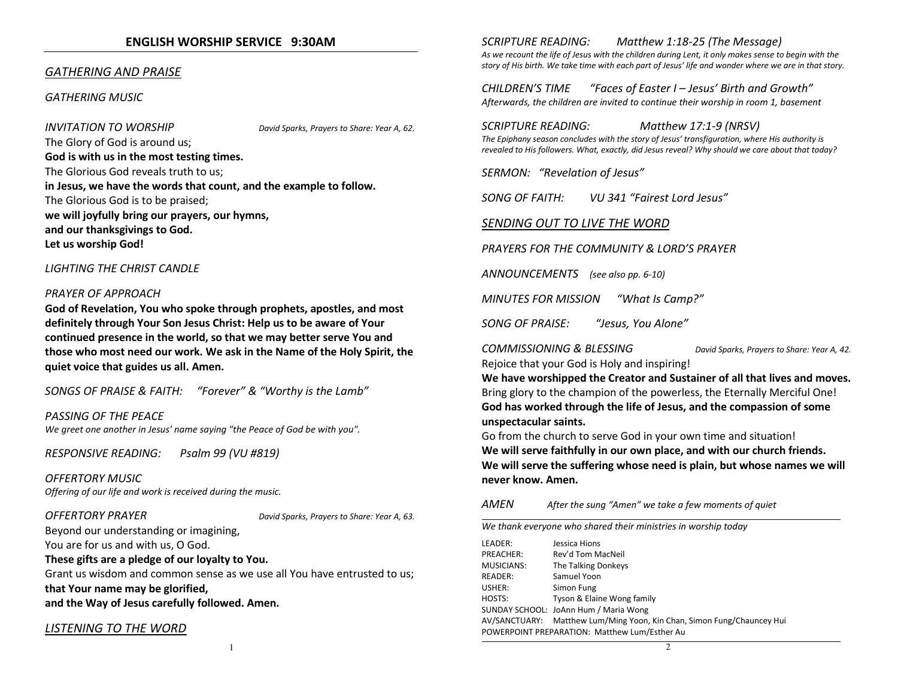### **ENGLISH WORSHIP SERVICE 9:30AM**

### *GATHERING AND PRAISE*

#### *GATHERING MUSIC*

*INVITATION TO WORSHIP David Sparks, Prayers to Share: Year A, 62.* 

The Glory of God is around us; **God is with us in the most testing times.**The Glorious God reveals truth to us; **in Jesus, we have the words that count, and the example to follow.**The Glorious God is to be praised; **we will joyfully bring our prayers, our hymns, and our thanksgivings to God. Let us worship God!**

#### *LIGHTING THE CHRIST CANDLE*

#### *PRAYER OF APPROACH*

**God of Revelation, You who spoke through prophets, apostles, and most definitely through Your Son Jesus Christ: Help us to be aware of Your continued presence in the world, so that we may better serve You and those who most need our work. We ask in the Name of the Holy Spirit, the quiet voice that guides us all. Amen.** 

*SONGS OF PRAISE & FAITH: "Forever" & "Worthy is the Lamb"* 

*PASSING OF THE PEACE We greet one another in Jesus' name saying "the Peace of God be with you".* 

*RESPONSIVE READING: Psalm 99 (VU #819)* 

*OFFERTORY MUSICOffering of our life and work is received during the music.* 

*OFFERTORY PRAYER David Sparks, Prayers to Share: Year A, 63.* 

Beyond our understanding or imagining, You are for us and with us, O God.

**These gifts are a pledge of our loyalty to You.**

Grant us wisdom and common sense as we use all You have entrusted to us; **that Your name may be glorified, and the Way of Jesus carefully followed. Amen.** 

#### *LISTENING TO THE WORD*

*SCRIPTURE READING: Matthew 1:18-25 (The Message) As we recount the life of Jesus with the children during Lent, it only makes sense to begin with the story of His birth. We take time with each part of Jesus' life and wonder where we are in that story.* 

*CHILDREN'S TIME "Faces of Easter I – Jesus' Birth and Growth" Afterwards, the children are invited to continue their worship in room 1, basement* 

*SCRIPTURE READING: Matthew 17:1-9 (NRSV) The Epiphany season concludes with the story of Jesus' transfiguration, where His authority is revealed to His followers. What, exactly, did Jesus reveal? Why should we care about that today?* 

*SERMON: "Revelation of Jesus"* 

*SONG OF FAITH: VU 341 "Fairest Lord Jesus"* 

#### *SENDING OUT TO LIVE THE WORD*

*PRAYERS FOR THE COMMUNITY & LORD'S PRAYER* 

*ANNOUNCEMENTS (see also pp. 6-10)*

*MINUTES FOR MISSION "What Is Camp?"*

*SONG OF PRAISE: "Jesus, You Alone"* 

*COMMISSIONING & BLESSING David Sparks, Prayers to Share: Year A, 42.*Rejoice that your God is Holy and inspiring!

**We have worshipped the Creator and Sustainer of all that lives and moves.**Bring glory to the champion of the powerless, the Eternally Merciful One! **God has worked through the life of Jesus, and the compassion of some unspectacular saints.**

Go from the church to serve God in your own time and situation! **We will serve faithfully in our own place, and with our church friends. We will serve the suffering whose need is plain, but whose names we will never know. Amen.** 

#### *AMENAfter the sung "Amen" we take a few moments of quiet*

*We thank everyone who shared their ministries in worship today* 

LEADER: Jessica Hions PREACHER: Rev'd Tom MacNeil MUSICIANS: The Talking Donkeys READER: Samuel Yoon USHER: Simon Fung HOSTS: Tyson & Elaine Wong family SUNDAY SCHOOL: JoAnn Hum / Maria Wong AV/SANCTUARY: Matthew Lum/Ming Yoon, Kin Chan, Simon Fung/Chauncey Hui POWERPOINT PREPARATION: Matthew Lum/Esther Au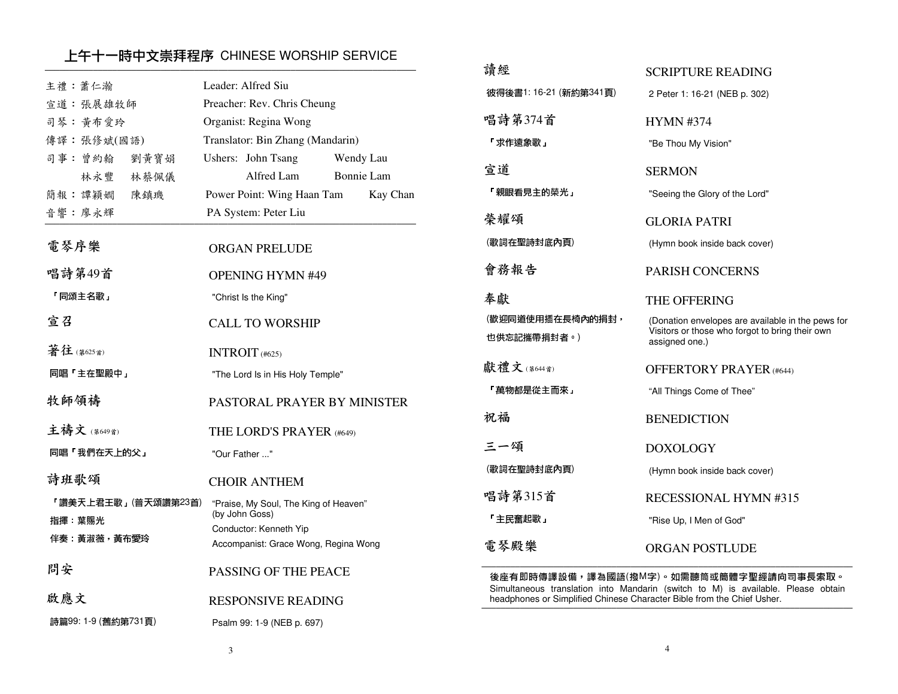## 上午十一時中文崇拜程序 CHINESE WORSHIP SERVICE

|                                |                                                                    | 請經                                              |
|--------------------------------|--------------------------------------------------------------------|-------------------------------------------------|
| 主禮:蕭仁瀚                         | Leader: Alfred Siu                                                 | 彼得後書1: 16-21 (新約第341頁)                          |
| 宣道: 張展雄牧師<br>司琴:黄布愛玲           | Preacher: Rev. Chris Cheung                                        | 唱詩第374首                                         |
|                                | Organist: Regina Wong                                              |                                                 |
| 傳譯:張修斌(國語)                     | Translator: Bin Zhang (Mandarin)                                   | 「求作遠象歌」                                         |
| 司事: 曾約翰<br>劉黃寶娟<br>林永豐<br>林蔡佩儀 | Ushers: John Tsang<br>Wendy Lau<br>Alfred Lam<br><b>Bonnie Lam</b> | 宣道                                              |
| 簡報:譚穎嫺<br>陳鎮璣                  | Power Point: Wing Haan Tam<br>Kay Chan                             | 「親眼看見主的榮光」                                      |
| 音響:廖永輝                         | PA System: Peter Liu                                               | 榮耀頌                                             |
| 電琴序樂                           | <b>ORGAN PRELUDE</b>                                               | (歌詞在聖詩封底內頁)                                     |
| 唱詩第49首                         | <b>OPENING HYMN #49</b>                                            | 會務報告                                            |
| 「同頌主名歌」                        | "Christ Is the King"                                               | 奉獻                                              |
| 宣召                             | <b>CALL TO WORSHIP</b>                                             | (歡迎同道使用插在長椅內的捐封<br>也供忘記攜帶捐封者。)                  |
| 著往(第625首)                      | INTROIT (#625)                                                     |                                                 |
| 同唱「主在聖殿中」                      | "The Lord Is in His Holy Temple"                                   | 獻禮文(第644首)                                      |
| 牧師領禱                           | PASTORAL PRAYER BY MINISTER                                        | 「萬物都是從主而來」                                      |
| 主禱文(第649首)                     | THE LORD'S PRAYER (#649)                                           | 祝福                                              |
| 同唱「我們在天上的父」                    | "Our Father "                                                      | 三一頌                                             |
|                                |                                                                    | (歌詞在聖詩封底內頁)                                     |
| 詩班歌頌                           | <b>CHOIR ANTHEM</b>                                                |                                                 |
| 「讚美天上君王歌」(普天頌讚第23首)            | "Praise, My Soul, The King of Heaven"<br>(by John Goss)            | 唱詩第315首<br>「主民奮起歌」                              |
| 指揮 葉賜光                         | Conductor: Kenneth Yip                                             |                                                 |
| 伴奏 黃淑薇,黃布愛玲                    | Accompanist: Grace Wong, Regina Wong                               | 電琴殿樂                                            |
| 問安                             | PASSING OF THE PEACE                                               | 後座有即時傳譯設備,譯為國詣<br>Simultaneous translation into |
| 啟應文                            | <b>RESPONSIVE READING</b>                                          | headphones or Simplified Chines                 |
| 詩篇99:1-9 (舊約第731頁)             | Psalm 99: 1-9 (NEB p. 697)                                         |                                                 |
|                                |                                                                    |                                                 |

| 彼得後書1: 16-21 (新約第341頁)          | 2 Peter 1: 16-21 (NEB p. 302)                                                                                          |
|---------------------------------|------------------------------------------------------------------------------------------------------------------------|
| 唱詩第374首                         | <b>HYMN #374</b>                                                                                                       |
| 「求作遠象歌」                         | "Be Thou My Vision"                                                                                                    |
| 宣道                              | <b>SERMON</b>                                                                                                          |
| 「親眼看見主的榮光」                      | "Seeing the Glory of the Lord"                                                                                         |
| 榮耀頌                             | <b>GLORIA PATRI</b>                                                                                                    |
| (歌詞在聖詩封底內頁)                     | (Hymn book inside back cover)                                                                                          |
| 會務報告                            | <b>PARISH CONCERNS</b>                                                                                                 |
| 奉獻                              | <b>THE OFFERING</b>                                                                                                    |
| (歡迎同道使用插在長椅內的捐封,<br>也供忘記攜帶捐封者。) | (Donation envelopes are available in the pews for<br>Visitors or those who forgot to bring their own<br>assigned one.) |
| <b>默禮文</b> (第644首)              | <b>OFFERTORY PRAYER (#644)</b>                                                                                         |
| 「萬物都是從主而來」                      | "All Things Come of Thee"                                                                                              |
| 沉福                              | <b>BENEDICTION</b>                                                                                                     |
| 三一頌                             | <b>DOXOLOGY</b>                                                                                                        |
| (歌詞在聖詩封底內頁)                     | (Hymn book inside back cover)                                                                                          |
| 昌詩第315首                         | <b>RECESSIONAL HYMN #315</b>                                                                                           |
| 「主民奮起歌」                         | "Rise Up, I Men of God"                                                                                                |
| 電琴殿樂                            | <b>ORGAN POSTLUDE</b>                                                                                                  |
|                                 |                                                                                                                        |

SCRIPTURE READING

後座有即時傳譯設備,譯為國語(撥M字)。如需聽筒或簡體字聖經請向司事長索取。<br>Simultaneous translation into Mandarin (switch to M) is available. Please obtain<br>headphones or Simplified Chinese Character Bible from the Chief Usher.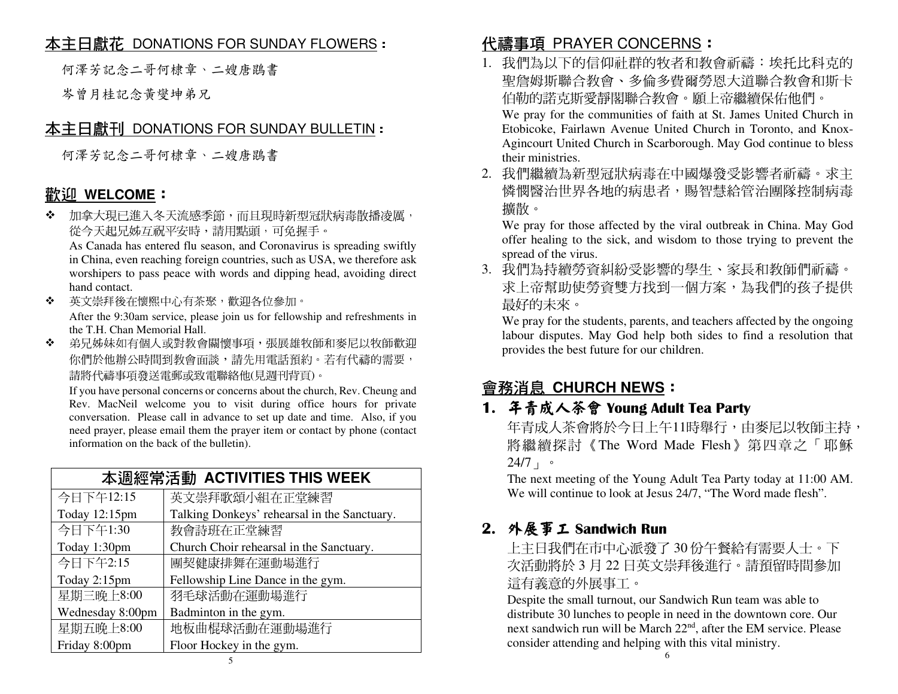# 本主日獻花 DONATIONS FOR SUNDAY FLOWERS:

何澤芳記念二哥何棣章、二嫂唐鵾書

岑曾月桂記念黃燮坤弟兄

# 本主日獻刊 DONATIONS FOR SUNDAY BULLETIN:

何澤芳記念二哥何棣章、二嫂唐鵾書

# <u>歡迎 WELCOME</u>:<br>◆ 加食大理日進入タ

❖ 加拿大現已進入冬天流感季節,而且現時新型冠狀病毒散播凌厲, 從今天起兄姊互祝平安時,請用點頭,可免握手。

 As Canada has entered flu season, and Coronavirus is spreading swiftly in China, even reaching foreign countries, such as USA, we therefore ask worshipers to pass peace with words and dipping head, avoiding direct hand contact.

 英文崇拜後在懷熙中心有茶聚,歡迎各位參加。❖

 After the 9:30am service, please join us for fellowship and refreshments in the T.H. Chan Memorial Hall.

◆ 弟兄姊妹如有個人或對教會關懷事項,張展雄牧師和麥尼以牧師歡迎  $\mathbf{r}^{\star}_{\mathbf{r}^{\star}}$ 你們於他辦公時間到教會面談,請先用電話預約。若有代禱的需要, 請將代禱事項發送電郵或致電聯絡他(見週刊背頁)。

 If you have personal concerns or concerns about the church, Rev. Cheung and Rev. MacNeil welcome you to visit during office hours for private conversation. Please call in advance to set up date and time. Also, if you need prayer, please email them the prayer item or contact by phone (contact information on the back of the bulletin).

| 本调經常活動 ACTIVITIES THIS WEEK |                                              |  |
|-----------------------------|----------------------------------------------|--|
| 今日下午12:15                   | 英文崇拜歌頌小組在正堂練習                                |  |
| Today 12:15pm               | Talking Donkeys' rehearsal in the Sanctuary. |  |
| 今日下午1:30                    | 教會詩班在正堂練習                                    |  |
| Today 1:30pm                | Church Choir rehearsal in the Sanctuary.     |  |
| 今日下午2:15                    | 團契健康排舞在運動場進行                                 |  |
| Today 2:15pm                | Fellowship Line Dance in the gym.            |  |
| 星期三晚上8:00                   | 羽毛球活動在運動場進行                                  |  |
| Wednesday 8:00pm            | Badminton in the gym.                        |  |
| 星期五晚上8:00                   | 地板曲棍球活動在運動場進行                                |  |
| Friday 8:00pm               | Floor Hockey in the gym.                     |  |

# <mark>代禱事項 PRAYER CONCERNS</mark>:<br>1 我們對以下的信仰註群的牧*老*和教

- 1. 我們為以下的信仰社群的牧者和教會祈禱:埃托比科克的 聖詹姆斯聯合教會、多倫多費爾勞恩大道聯合教會和斯卡伯勒的諾克斯愛靜閣聯合教會。願上帝繼續保佑他們。 We pray for the communities of faith at St. James United Church in Etobicoke, Fairlawn Avenue United Church in Toronto, and Knox-Agincourt United Church in Scarborough. May God continue to bless their ministries.
- 2. 我們繼續為新型冠狀病毒在中國爆發受影響者祈禱。求主 憐憫醫治世界各地的病患者,賜智慧給管治團隊控制病毒擴散。

 We pray for those affected by the viral outbreak in China. May God offer healing to the sick, and wisdom to those trying to prevent the spread of the virus.

 3. 我們為持續勞資糾紛受影響的學生、家長和教師們祈禱。求上帝幫助使勞資雙方找到一個方案,為我們的孩子提供 最好的未來。

 We pray for the students, parents, and teachers affected by the ongoing labour disputes. May God help both sides to find a resolution that provides the best future for our children.

# 會務消息 **CHURCH NEWS**:

# **1.** 年青成人茶會 **Young Adult Tea Party**

年青成人茶會將於今日上午11時舉行,由麥尼以牧師主持, 將繼續探討《The Word Made Flesh》第四章之「耶穌24/7」。

 The next meeting of the Young Adult Tea Party today at 11:00 AM. We will continue to look at Jesus 24/7, "The Word made flesh".

# **2.** 外展事工 **Sandwich Run**

上主日我們在市中心派發了 30 份午餐給有需要人士。下<br>安廷軌略於 2 日 22 日苦立崇拜後進行。請預*四*時門參加 次活動將於 <sup>3</sup> 月 22 日英文崇拜後進行。請預留時間參加這有義意的外展事工。

 Despite the small turnout, our Sandwich Run team was able to distribute 30 lunches to people in need in the downtown core. Our next sandwich run will be March 22<sup>nd</sup>, after the EM service. Please consider attending and helping with this vital ministry.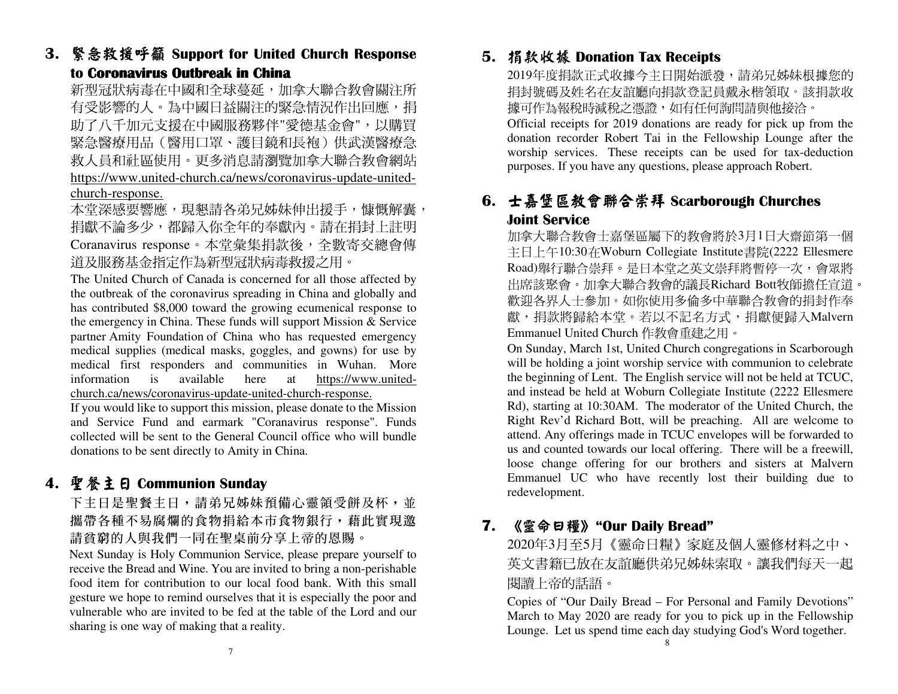**3.** 緊急救援呼籲 **Support for United Church Response to Coronavirus Outbreak in China oronavirus Outbreak in China China** 

新型冠狀病毒在中國和全球蔓延,加拿大聯合教會關注所 有受影響的人。為中國日益關注的緊急情況作出回應,捐 助了八千加元支援在中國服務夥伴"愛德基金會",以購買 緊急醫療用品(醫用口罩、護目鏡和長袍)供武漢醫療急 救人員和社區使用。更多消息請瀏覽加拿大聯合教會網站 https://www.united-church.ca/news/coronavirus-update-unitedchurch-response.

本堂深感要響應,現懇請各弟兄姊妹伸出援手,慷慨解囊, 捐獻不論多少,都歸入你全年的奉獻內。請在捐封上註明 Coranavirus response。本堂彙集捐款後,全數寄交總會傳道及服務基金指定作為新型冠狀病毒救援之用。

 The United Church of Canada is concerned for all those affected by the outbreak of the coronavirus spreading in China and globally and has contributed \$8,000 toward the growing ecumenical response to the emergency in China. These funds will support Mission & Service partner Amity Foundation of China who has requested emergency medical supplies (medical masks, goggles, and gowns) for use by medical first responders and communities in Wuhan. More information is available here at https://www.unitedchurch.ca/news/coronavirus-update-united-church-response.

 If you would like to support this mission, please donate to the Mission and Service Fund and earmark "Coranavirus response". Funds collected will be sent to the General Council office who will bundle donations to be sent directly to Amity in China.

# **4.** 聖餐主日 **Communion Sunday**

下主日是聖餐主日,請弟兄姊妹預備心靈領受餅及杯,並攜帶各種不易腐爛的食物捐給本市食物銀行,藉此實現邀 請貧窮的人與我們一同在聖桌前分享上帝的恩賜。

 Next Sunday is Holy Communion Service, please prepare yourself to receive the Bread and Wine. You are invited to bring a non-perishable food item for contribution to our local food bank. With this small gesture we hope to remind ourselves that it is especially the poor and vulnerable who are invited to be fed at the table of the Lord and our sharing is one way of making that a reality.

# **5.** 捐款收據 **Donation Tax Receipts**

2019年度捐款正式收據今主日開始派發,請弟兄姊妹根據您的 捐封號碼及姓名在友誼廳向捐款登記員戴永楷領取。該捐款收據可作為報稅時減稅之憑證,如有任何詢問請與他接洽。

 Official receipts for 2019 donations are ready for pick up from the donation recorder Robert Tai in the Fellowship Lounge after the worship services. These receipts can be used for tax-deduction purposes. If you have any questions, please approach Robert.

# **6.** 士嘉堡區教會聯合崇拜 **Scarborough Churches Joint Service**

 加拿大聯合教會士嘉堡區屬下的教會將於3月1日大齋節第一個 主日上午10:30在Woburn Collegiate Institute書院(2222 Ellesmere Road)舉行聯合崇拜。是日本堂之英文崇拜將暫停一次,會眾將 出席該聚會。加拿大聯合教會的議長Richard Bott牧師擔任宣道。 歡迎各界人士參加。如你使用多倫多中華聯合教會的捐封作奉 獻,捐款將歸給本堂。若以不記名方式,捐獻便歸入Malvern Emmanuel United Church 作教會重建之用。

 On Sunday, March 1st, United Church congregations in Scarborough will be holding a joint worship service with communion to celebrate the beginning of Lent. The English service will not be held at TCUC, and instead be held at Woburn Collegiate Institute (2222 Ellesmere Rd), starting at 10:30AM. The moderator of the United Church, the Right Rev'd Richard Bott, will be preaching. All are welcome to attend. Any offerings made in TCUC envelopes will be forwarded to us and counted towards our local offering. There will be a freewill, loose change offering for our brothers and sisters at Malvern Emmanuel UC who have recently lost their building due to redevelopment.

# **7.** 《靈命日糧》**"Our Daily Bread"**

 2020年3月至5月《靈命日糧》家庭及個人靈修材料之中、 英文書籍已放在友誼廳供弟兄姊妹索取。讓我們每天一起閱讀上帝的話語。

 Copies of "Our Daily Bread – For Personal and Family Devotions" March to May 2020 are ready for you to pick up in the Fellowship Lounge. Let us spend time each day studying God's Word together.